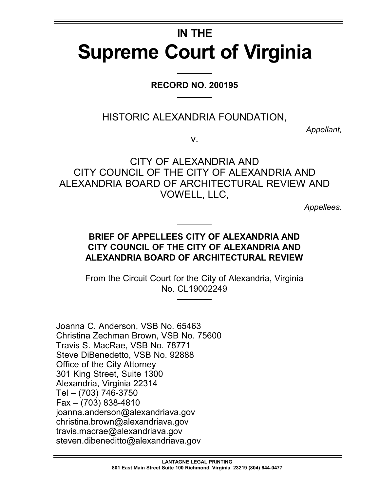# **IN THE Supreme Court of Virginia**

## **RECORD NO. 200195**

HISTORIC ALEXANDRIA FOUNDATION,

*Appellant,*

v.

## CITY OF ALEXANDRIA AND CITY COUNCIL OF THE CITY OF ALEXANDRIA AND ALEXANDRIA BOARD OF ARCHITECTURAL REVIEW AND VOWELL, LLC,

*Appellees*.

## **BRIEF OF APPELLEES CITY OF ALEXANDRIA AND CITY COUNCIL OF THE CITY OF ALEXANDRIA AND ALEXANDRIA BOARD OF ARCHITECTURAL REVIEW**

From the Circuit Court for the City of Alexandria, Virginia No. CL19002249

Joanna C. Anderson, VSB No. 65463 Christina Zechman Brown, VSB No. 75600 Travis S. MacRae, VSB No. 78771 Steve DiBenedetto, VSB No. 92888 Office of the City Attorney 301 King Street, Suite 1300 Alexandria, Virginia 22314 Tel – (703) 746-3750 Fax – (703) 838-4810 joanna.anderson@alexandriava.gov christina.brown@alexandriava.gov travis.macrae@alexandriava.gov steven.dibeneditto@alexandriava.gov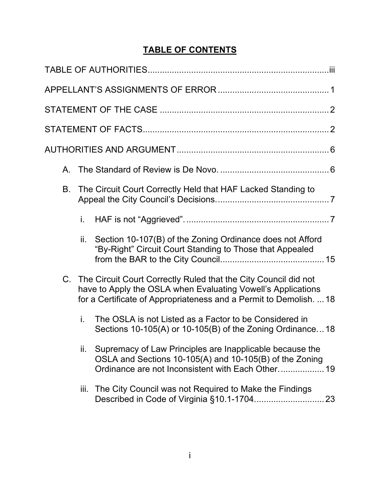# **TABLE OF CONTENTS**

| В. | The Circuit Court Correctly Held that HAF Lacked Standing to                                                                                                                                             |                                                                                                                                                                          |
|----|----------------------------------------------------------------------------------------------------------------------------------------------------------------------------------------------------------|--------------------------------------------------------------------------------------------------------------------------------------------------------------------------|
|    | i.                                                                                                                                                                                                       |                                                                                                                                                                          |
|    | ii.                                                                                                                                                                                                      | Section 10-107(B) of the Zoning Ordinance does not Afford<br>"By-Right" Circuit Court Standing to Those that Appealed                                                    |
|    | C. The Circuit Court Correctly Ruled that the City Council did not<br>have to Apply the OSLA when Evaluating Vowell's Applications<br>for a Certificate of Appropriateness and a Permit to Demolish.  18 |                                                                                                                                                                          |
|    | i.                                                                                                                                                                                                       | The OSLA is not Listed as a Factor to be Considered in<br>Sections 10-105(A) or 10-105(B) of the Zoning Ordinance18                                                      |
|    | ii.                                                                                                                                                                                                      | Supremacy of Law Principles are Inapplicable because the<br>OSLA and Sections 10-105(A) and 10-105(B) of the Zoning<br>Ordinance are not Inconsistent with Each Other 19 |
|    | iii.                                                                                                                                                                                                     | The City Council was not Required to Make the Findings                                                                                                                   |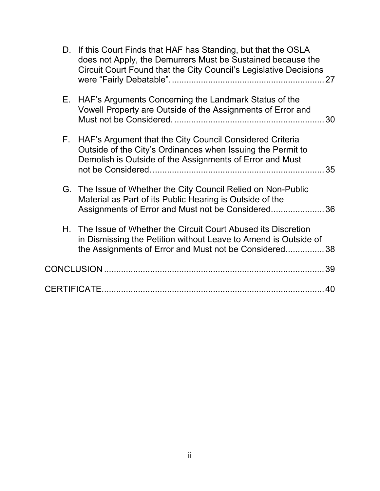|    | D. If this Court Finds that HAF has Standing, but that the OSLA<br>does not Apply, the Demurrers Must be Sustained because the<br>Circuit Court Found that the City Council's Legislative Decisions |  |
|----|-----------------------------------------------------------------------------------------------------------------------------------------------------------------------------------------------------|--|
| Е. | HAF's Arguments Concerning the Landmark Status of the<br>Vowell Property are Outside of the Assignments of Error and                                                                                |  |
|    | F. HAF's Argument that the City Council Considered Criteria<br>Outside of the City's Ordinances when Issuing the Permit to<br>Demolish is Outside of the Assignments of Error and Must              |  |
|    | G. The Issue of Whether the City Council Relied on Non-Public<br>Material as Part of its Public Hearing is Outside of the<br>Assignments of Error and Must not be Considered 36                     |  |
|    | H. The Issue of Whether the Circuit Court Abused its Discretion<br>in Dismissing the Petition without Leave to Amend is Outside of<br>the Assignments of Error and Must not be Considered 38        |  |
|    |                                                                                                                                                                                                     |  |
|    |                                                                                                                                                                                                     |  |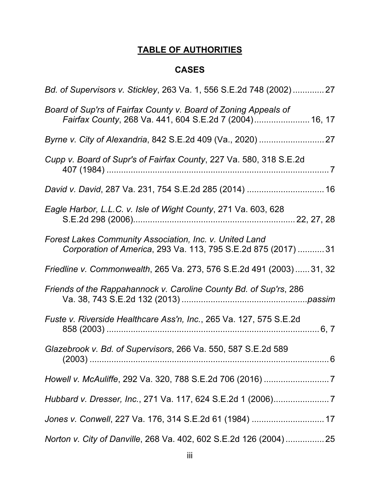# **TABLE OF AUTHORITIES**

## **CASES**

| Bd. of Supervisors v. Stickley, 263 Va. 1, 556 S.E.2d 748 (2002)27                                                         |
|----------------------------------------------------------------------------------------------------------------------------|
| Board of Sup'rs of Fairfax County v. Board of Zoning Appeals of<br>Fairfax County, 268 Va. 441, 604 S.E.2d 7 (2004) 16, 17 |
|                                                                                                                            |
| Cupp v. Board of Supr's of Fairfax County, 227 Va. 580, 318 S.E.2d                                                         |
|                                                                                                                            |
| Eagle Harbor, L.L.C. v. Isle of Wight County, 271 Va. 603, 628                                                             |
| Forest Lakes Community Association, Inc. v. United Land<br>Corporation of America, 293 Va. 113, 795 S.E.2d 875 (2017)  31  |
| Friedline v. Commonwealth, 265 Va. 273, 576 S.E.2d 491 (2003)31, 32                                                        |
| Friends of the Rappahannock v. Caroline County Bd. of Sup'rs, 286                                                          |
| Fuste v. Riverside Healthcare Ass'n, Inc., 265 Va. 127, 575 S.E.2d                                                         |
| Glazebrook v. Bd. of Supervisors, 266 Va. 550, 587 S.E.2d 589<br>$.6\,$                                                    |
|                                                                                                                            |
| Hubbard v. Dresser, Inc., 271 Va. 117, 624 S.E.2d 1 (2006)7                                                                |
| Jones v. Conwell, 227 Va. 176, 314 S.E.2d 61 (1984)  17                                                                    |
| Norton v. City of Danville, 268 Va. 402, 602 S.E.2d 126 (2004) 25                                                          |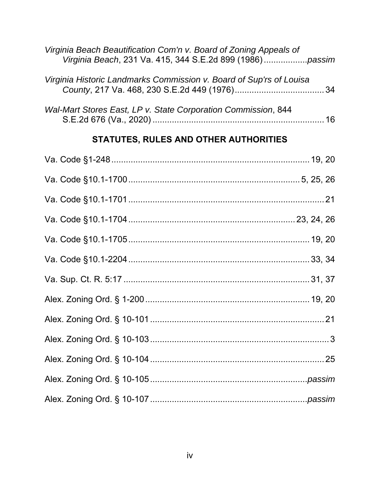| Virginia Beach Beautification Com'n v. Board of Zoning Appeals of   |    |
|---------------------------------------------------------------------|----|
| Virginia Historic Landmarks Commission v. Board of Sup'rs of Louisa |    |
| Wal-Mart Stores East, LP v. State Corporation Commission, 844       | 16 |

# **STATUTES, RULES AND OTHER AUTHORITIES**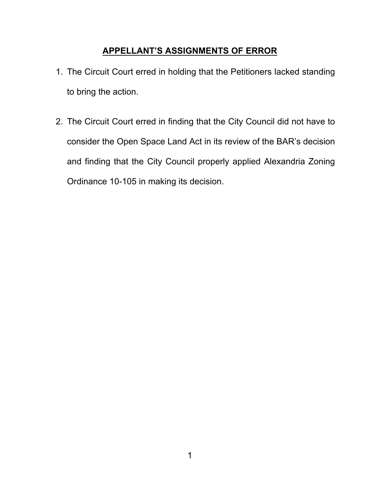## **APPELLANT'S ASSIGNMENTS OF ERROR**

- 1. The Circuit Court erred in holding that the Petitioners lacked standing to bring the action.
- 2. The Circuit Court erred in finding that the City Council did not have to consider the Open Space Land Act in its review of the BAR's decision and finding that the City Council properly applied Alexandria Zoning Ordinance 10-105 in making its decision.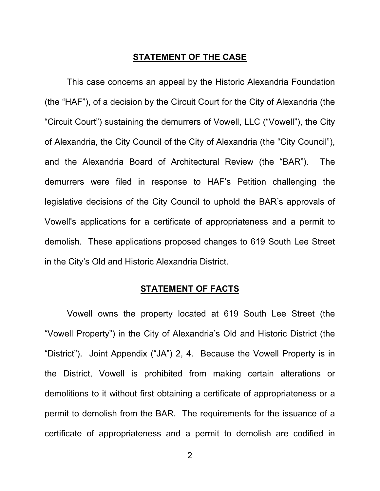#### **STATEMENT OF THE CASE**

This case concerns an appeal by the Historic Alexandria Foundation (the "HAF"), of a decision by the Circuit Court for the City of Alexandria (the "Circuit Court") sustaining the demurrers of Vowell, LLC ("Vowell"), the City of Alexandria, the City Council of the City of Alexandria (the "City Council"), and the Alexandria Board of Architectural Review (the "BAR"). The demurrers were filed in response to HAF's Petition challenging the legislative decisions of the City Council to uphold the BAR's approvals of Vowell's applications for a certificate of appropriateness and a permit to demolish. These applications proposed changes to 619 South Lee Street in the City's Old and Historic Alexandria District.

#### **STATEMENT OF FACTS**

 Vowell owns the property located at 619 South Lee Street (the "Vowell Property") in the City of Alexandria's Old and Historic District (the "District"). Joint Appendix ("JA") 2, 4. Because the Vowell Property is in the District, Vowell is prohibited from making certain alterations or demolitions to it without first obtaining a certificate of appropriateness or a permit to demolish from the BAR. The requirements for the issuance of a certificate of appropriateness and a permit to demolish are codified in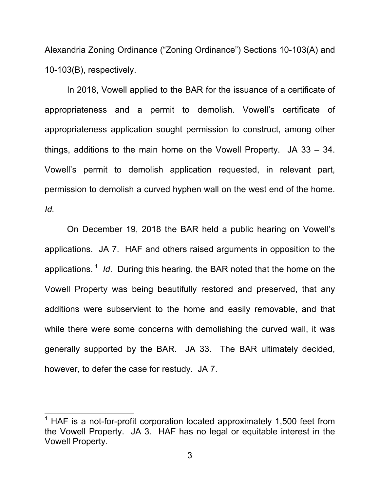Alexandria Zoning Ordinance ("Zoning Ordinance") Sections 10-103(A) and 10-103(B), respectively.

In 2018, Vowell applied to the BAR for the issuance of a certificate of appropriateness and a permit to demolish. Vowell's certificate of appropriateness application sought permission to construct, among other things, additions to the main home on the Vowell Property. JA 33 – 34. Vowell's permit to demolish application requested, in relevant part, permission to demolish a curved hyphen wall on the west end of the home. *Id.*

On December 19, 2018 the BAR held a public hearing on Vowell's applications. JA 7. HAF and others raised arguments in opposition to the applications. 1 *Id*. During this hearing, the BAR noted that the home on the Vowell Property was being beautifully restored and preserved, that any additions were subservient to the home and easily removable, and that while there were some concerns with demolishing the curved wall, it was generally supported by the BAR. JA 33. The BAR ultimately decided, however, to defer the case for restudy. JA 7.

 $1$  HAF is a not-for-profit corporation located approximately 1,500 feet from the Vowell Property. JA 3. HAF has no legal or equitable interest in the Vowell Property.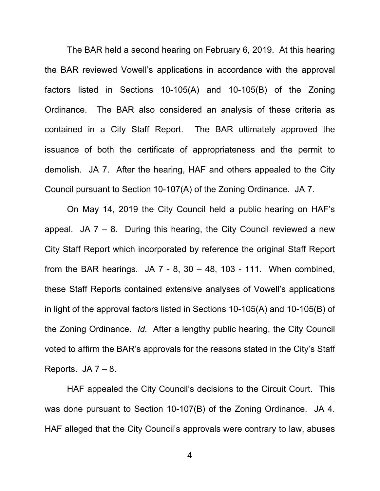The BAR held a second hearing on February 6, 2019. At this hearing the BAR reviewed Vowell's applications in accordance with the approval factors listed in Sections 10-105(A) and 10-105(B) of the Zoning Ordinance. The BAR also considered an analysis of these criteria as contained in a City Staff Report. The BAR ultimately approved the issuance of both the certificate of appropriateness and the permit to demolish. JA 7. After the hearing, HAF and others appealed to the City Council pursuant to Section 10-107(A) of the Zoning Ordinance. JA 7.

On May 14, 2019 the City Council held a public hearing on HAF's appeal. JA  $7 - 8$ . During this hearing, the City Council reviewed a new City Staff Report which incorporated by reference the original Staff Report from the BAR hearings.  $JA 7 - 8$ ,  $30 - 48$ ,  $103 - 111$ . When combined, these Staff Reports contained extensive analyses of Vowell's applications in light of the approval factors listed in Sections 10-105(A) and 10-105(B) of the Zoning Ordinance. *Id.* After a lengthy public hearing, the City Council voted to affirm the BAR's approvals for the reasons stated in the City's Staff Reports.  $JA 7 - 8$ .

 HAF appealed the City Council's decisions to the Circuit Court. This was done pursuant to Section 10-107(B) of the Zoning Ordinance. JA 4. HAF alleged that the City Council's approvals were contrary to law, abuses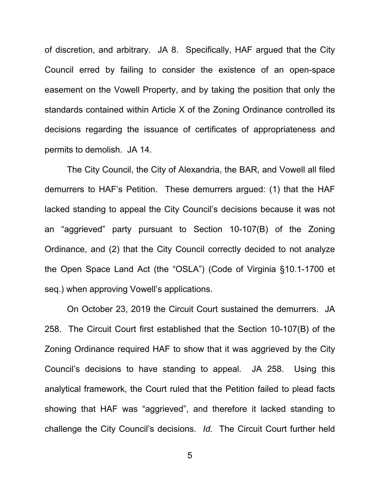of discretion, and arbitrary. JA 8. Specifically, HAF argued that the City Council erred by failing to consider the existence of an open-space easement on the Vowell Property, and by taking the position that only the standards contained within Article X of the Zoning Ordinance controlled its decisions regarding the issuance of certificates of appropriateness and permits to demolish. JA 14.

The City Council, the City of Alexandria, the BAR, and Vowell all filed demurrers to HAF's Petition. These demurrers argued: (1) that the HAF lacked standing to appeal the City Council's decisions because it was not an "aggrieved" party pursuant to Section 10-107(B) of the Zoning Ordinance, and (2) that the City Council correctly decided to not analyze the Open Space Land Act (the "OSLA") (Code of Virginia §10.1-1700 et seq.) when approving Vowell's applications.

 On October 23, 2019 the Circuit Court sustained the demurrers. JA 258. The Circuit Court first established that the Section 10-107(B) of the Zoning Ordinance required HAF to show that it was aggrieved by the City Council's decisions to have standing to appeal. JA 258. Using this analytical framework, the Court ruled that the Petition failed to plead facts showing that HAF was "aggrieved", and therefore it lacked standing to challenge the City Council's decisions. *Id.* The Circuit Court further held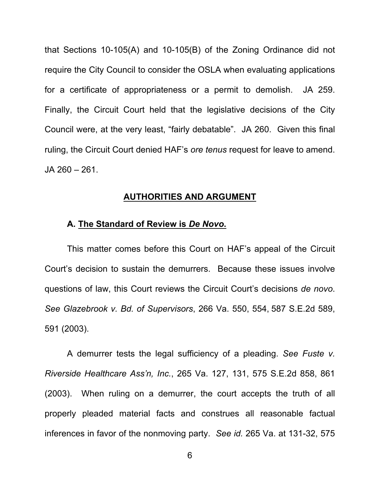that Sections 10-105(A) and 10-105(B) of the Zoning Ordinance did not require the City Council to consider the OSLA when evaluating applications for a certificate of appropriateness or a permit to demolish. JA 259. Finally, the Circuit Court held that the legislative decisions of the City Council were, at the very least, "fairly debatable". JA 260. Given this final ruling, the Circuit Court denied HAF's *ore tenus* request for leave to amend. JA 260 – 261.

#### **AUTHORITIES AND ARGUMENT**

#### **A. The Standard of Review is** *De Novo***.**

This matter comes before this Court on HAF's appeal of the Circuit Court's decision to sustain the demurrers. Because these issues involve questions of law, this Court reviews the Circuit Court's decisions *de novo*. *See Glazebrook v. Bd. of Supervisors*, 266 Va. 550, 554, 587 S.E.2d 589, 591 (2003).

A demurrer tests the legal sufficiency of a pleading. *See Fuste v. Riverside Healthcare Ass'n, Inc.*, 265 Va. 127, 131, 575 S.E.2d 858, 861 (2003). When ruling on a demurrer, the court accepts the truth of all properly pleaded material facts and construes all reasonable factual inferences in favor of the nonmoving party. *See id.* 265 Va. at 131-32, 575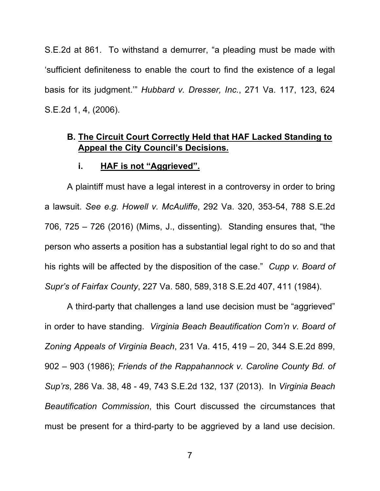S.E.2d at 861. To withstand a demurrer, "a pleading must be made with 'sufficient definiteness to enable the court to find the existence of a legal basis for its judgment.'" *Hubbard v. Dresser, Inc.*, 271 Va. 117, 123, 624 S.E.2d 1, 4, (2006).

## **B. The Circuit Court Correctly Held that HAF Lacked Standing to Appeal the City Council's Decisions.**

#### **i. HAF is not "Aggrieved".**

A plaintiff must have a legal interest in a controversy in order to bring a lawsuit. *See e.g. Howell v. McAuliffe*, 292 Va. 320, 353-54, 788 S.E.2d 706, 725 – 726 (2016) (Mims, J., dissenting). Standing ensures that, "the person who asserts a position has a substantial legal right to do so and that his rights will be affected by the disposition of the case." *Cupp v. Board of Supr's of Fairfax County*, 227 Va. 580, 589, 318 S.E.2d 407, 411 (1984).

A third-party that challenges a land use decision must be "aggrieved" in order to have standing. *Virginia Beach Beautification Com'n v. Board of Zoning Appeals of Virginia Beach*, 231 Va. 415, 419 – 20, 344 S.E.2d 899, 902 – 903 (1986); *Friends of the Rappahannock v. Caroline County Bd. of Sup'rs*, 286 Va. 38, 48 - 49, 743 S.E.2d 132, 137 (2013). In *Virginia Beach Beautification Commission*, this Court discussed the circumstances that must be present for a third-party to be aggrieved by a land use decision.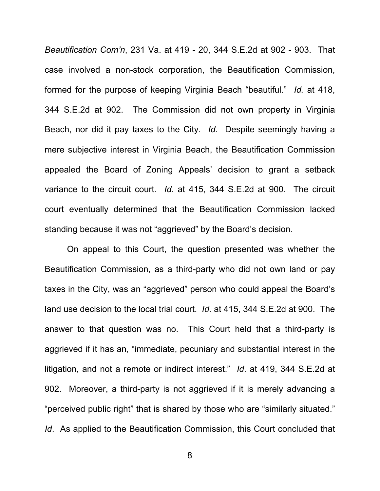*Beautification Com'n*, 231 Va. at 419 - 20, 344 S.E.2d at 902 - 903. That case involved a non-stock corporation, the Beautification Commission, formed for the purpose of keeping Virginia Beach "beautiful." *Id.* at 418, 344 S.E.2d at 902. The Commission did not own property in Virginia Beach, nor did it pay taxes to the City. *Id.* Despite seemingly having a mere subjective interest in Virginia Beach, the Beautification Commission appealed the Board of Zoning Appeals' decision to grant a setback variance to the circuit court. *Id.* at 415, 344 S.E.2d at 900. The circuit court eventually determined that the Beautification Commission lacked standing because it was not "aggrieved" by the Board's decision.

On appeal to this Court, the question presented was whether the Beautification Commission, as a third-party who did not own land or pay taxes in the City, was an "aggrieved" person who could appeal the Board's land use decision to the local trial court. *Id.* at 415, 344 S.E.2d at 900. The answer to that question was no. This Court held that a third-party is aggrieved if it has an, "immediate, pecuniary and substantial interest in the litigation, and not a remote or indirect interest." *Id*. at 419, 344 S.E.2d at 902. Moreover, a third-party is not aggrieved if it is merely advancing a "perceived public right" that is shared by those who are "similarly situated." *Id*. As applied to the Beautification Commission, this Court concluded that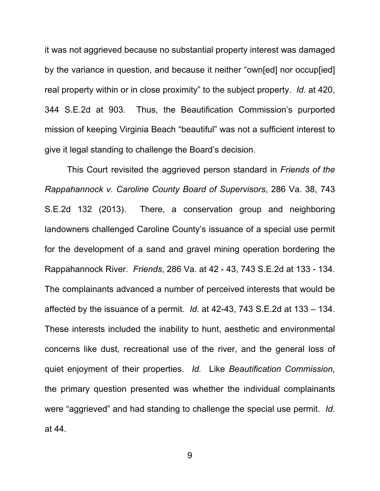it was not aggrieved because no substantial property interest was damaged by the variance in question, and because it neither "own[ed] nor occup[ied] real property within or in close proximity" to the subject property. *Id.* at 420, 344 S.E.2d at 903. Thus, the Beautification Commission's purported mission of keeping Virginia Beach "beautiful" was not a sufficient interest to give it legal standing to challenge the Board's decision.

This Court revisited the aggrieved person standard in *Friends of the Rappahannock v. Caroline County Board of Supervisors*, 286 Va. 38, 743 S.E.2d 132 (2013). There, a conservation group and neighboring landowners challenged Caroline County's issuance of a special use permit for the development of a sand and gravel mining operation bordering the Rappahannock River. *Friends*, 286 Va. at 42 - 43, 743 S.E.2d at 133 - 134. The complainants advanced a number of perceived interests that would be affected by the issuance of a permit. *Id.* at 42-43, 743 S.E.2d at 133 – 134. These interests included the inability to hunt, aesthetic and environmental concerns like dust, recreational use of the river, and the general loss of quiet enjoyment of their properties. *Id.* Like *Beautification Commission*, the primary question presented was whether the individual complainants were "aggrieved" and had standing to challenge the special use permit. *Id.*  at 44.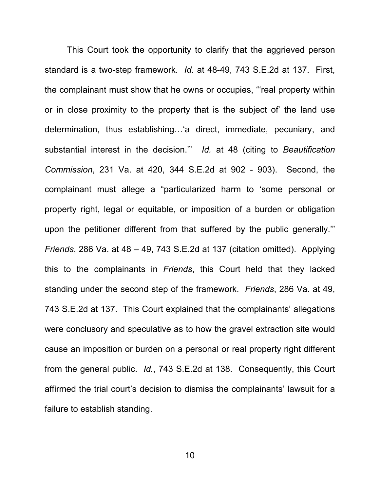This Court took the opportunity to clarify that the aggrieved person standard is a two-step framework. *Id.* at 48-49, 743 S.E.2d at 137. First, the complainant must show that he owns or occupies, "'real property within or in close proximity to the property that is the subject of' the land use determination, thus establishing…'a direct, immediate, pecuniary, and substantial interest in the decision.'" *Id.* at 48 (citing to *Beautification Commission*, 231 Va. at 420, 344 S.E.2d at 902 - 903). Second, the complainant must allege a "particularized harm to 'some personal or property right, legal or equitable, or imposition of a burden or obligation upon the petitioner different from that suffered by the public generally.'" *Friends*, 286 Va. at 48 – 49, 743 S.E.2d at 137 (citation omitted). Applying this to the complainants in *Friends*, this Court held that they lacked standing under the second step of the framework. *Friends*, 286 Va. at 49, 743 S.E.2d at 137. This Court explained that the complainants' allegations were conclusory and speculative as to how the gravel extraction site would cause an imposition or burden on a personal or real property right different from the general public. *Id.*, 743 S.E.2d at 138. Consequently, this Court affirmed the trial court's decision to dismiss the complainants' lawsuit for a failure to establish standing.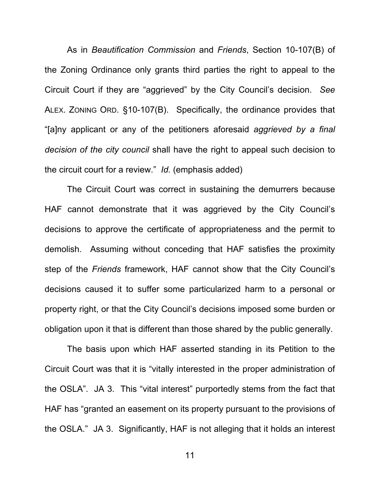As in *Beautification Commission* and *Friends*, Section 10-107(B) of the Zoning Ordinance only grants third parties the right to appeal to the Circuit Court if they are "aggrieved" by the City Council's decision. *See*  ALEX. ZONING ORD. §10-107(B). Specifically, the ordinance provides that "[a]ny applicant or any of the petitioners aforesaid *aggrieved by a final decision of the city council* shall have the right to appeal such decision to the circuit court for a review." *Id.* (emphasis added)

The Circuit Court was correct in sustaining the demurrers because HAF cannot demonstrate that it was aggrieved by the City Council's decisions to approve the certificate of appropriateness and the permit to demolish. Assuming without conceding that HAF satisfies the proximity step of the *Friends* framework, HAF cannot show that the City Council's decisions caused it to suffer some particularized harm to a personal or property right, or that the City Council's decisions imposed some burden or obligation upon it that is different than those shared by the public generally.

The basis upon which HAF asserted standing in its Petition to the Circuit Court was that it is "vitally interested in the proper administration of the OSLA". JA 3. This "vital interest" purportedly stems from the fact that HAF has "granted an easement on its property pursuant to the provisions of the OSLA." JA 3. Significantly, HAF is not alleging that it holds an interest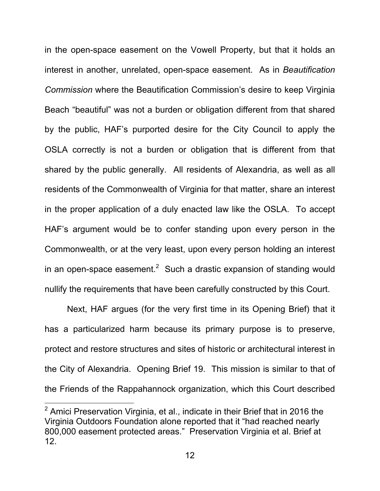in the open-space easement on the Vowell Property, but that it holds an interest in another, unrelated, open-space easement. As in *Beautification Commission* where the Beautification Commission's desire to keep Virginia Beach "beautiful" was not a burden or obligation different from that shared by the public, HAF's purported desire for the City Council to apply the OSLA correctly is not a burden or obligation that is different from that shared by the public generally. All residents of Alexandria, as well as all residents of the Commonwealth of Virginia for that matter, share an interest in the proper application of a duly enacted law like the OSLA. To accept HAF's argument would be to confer standing upon every person in the Commonwealth, or at the very least, upon every person holding an interest in an open-space easement. $^2\;$  Such a drastic expansion of standing would nullify the requirements that have been carefully constructed by this Court.

Next, HAF argues (for the very first time in its Opening Brief) that it has a particularized harm because its primary purpose is to preserve, protect and restore structures and sites of historic or architectural interest in the City of Alexandria. Opening Brief 19. This mission is similar to that of the Friends of the Rappahannock organization, which this Court described

 $^2$  Amici Preservation Virginia, et al., indicate in their Brief that in 2016 the Virginia Outdoors Foundation alone reported that it "had reached nearly 800,000 easement protected areas." Preservation Virginia et al. Brief at 12.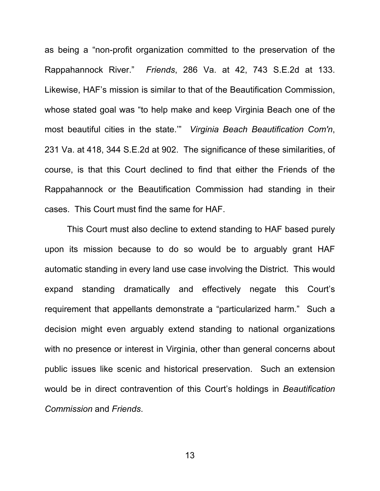as being a "non-profit organization committed to the preservation of the Rappahannock River." *Friends*, 286 Va. at 42, 743 S.E.2d at 133. Likewise, HAF's mission is similar to that of the Beautification Commission, whose stated goal was "to help make and keep Virginia Beach one of the most beautiful cities in the state.'" *Virginia Beach Beautification Com'n*, 231 Va. at 418, 344 S.E.2d at 902. The significance of these similarities, of course, is that this Court declined to find that either the Friends of the Rappahannock or the Beautification Commission had standing in their cases. This Court must find the same for HAF.

This Court must also decline to extend standing to HAF based purely upon its mission because to do so would be to arguably grant HAF automatic standing in every land use case involving the District. This would expand standing dramatically and effectively negate this Court's requirement that appellants demonstrate a "particularized harm." Such a decision might even arguably extend standing to national organizations with no presence or interest in Virginia, other than general concerns about public issues like scenic and historical preservation. Such an extension would be in direct contravention of this Court's holdings in *Beautification Commission* and *Friends*.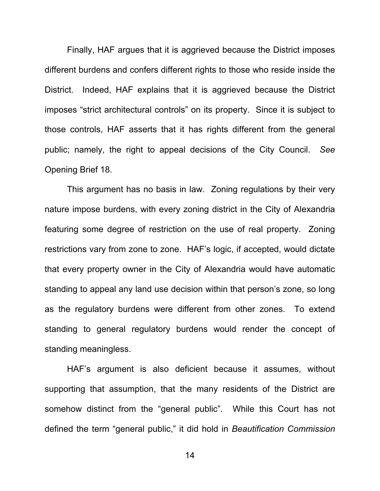Finally, HAF argues that it is aggrieved because the District imposes different burdens and confers different rights to those who reside inside the District. Indeed, HAF explains that it is aggrieved because the District imposes "strict architectural controls" on its property. Since it is subject to those controls, HAF asserts that it has rights different from the general public; namely, the right to appeal decisions of the City Council. *See*  Opening Brief 18.

This argument has no basis in law. Zoning regulations by their very nature impose burdens, with every zoning district in the City of Alexandria featuring some degree of restriction on the use of real property. Zoning restrictions vary from zone to zone. HAF's logic, if accepted, would dictate that every property owner in the City of Alexandria would have automatic standing to appeal any land use decision within that person's zone, so long as the regulatory burdens were different from other zones. To extend standing to general regulatory burdens would render the concept of standing meaningless.

HAF's argument is also deficient because it assumes, without supporting that assumption, that the many residents of the District are somehow distinct from the "general public". While this Court has not defined the term "general public," it did hold in *Beautification Commission*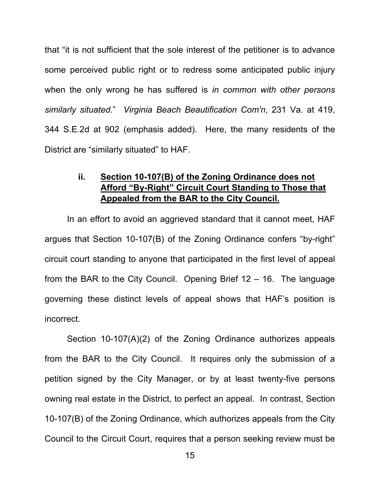that "it is not sufficient that the sole interest of the petitioner is to advance some perceived public right or to redress some anticipated public injury when the only wrong he has suffered is *in common with other persons similarly situated*." *Virginia Beach Beautification Com'n*, 231 Va. at 419, 344 S.E.2d at 902 (emphasis added). Here, the many residents of the District are "similarly situated" to HAF.

## **ii. Section 10-107(B) of the Zoning Ordinance does not Afford "By-Right" Circuit Court Standing to Those that Appealed from the BAR to the City Council.**

In an effort to avoid an aggrieved standard that it cannot meet, HAF argues that Section 10-107(B) of the Zoning Ordinance confers "by-right" circuit court standing to anyone that participated in the first level of appeal from the BAR to the City Council. Opening Brief 12 – 16. The language governing these distinct levels of appeal shows that HAF's position is incorrect.

Section 10-107(A)(2) of the Zoning Ordinance authorizes appeals from the BAR to the City Council. It requires only the submission of a petition signed by the City Manager, or by at least twenty-five persons owning real estate in the District, to perfect an appeal. In contrast, Section 10-107(B) of the Zoning Ordinance, which authorizes appeals from the City Council to the Circuit Court, requires that a person seeking review must be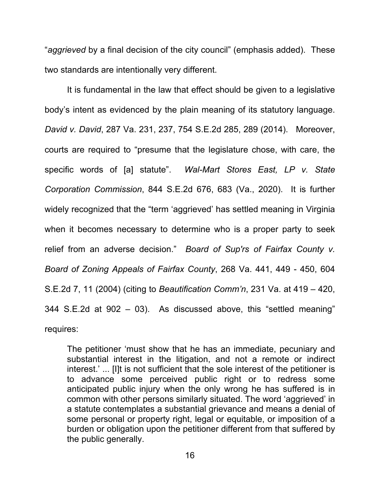"*aggrieved* by a final decision of the city council" (emphasis added). These two standards are intentionally very different.

It is fundamental in the law that effect should be given to a legislative body's intent as evidenced by the plain meaning of its statutory language. *David v. David*, 287 Va. 231, 237, 754 S.E.2d 285, 289 (2014). Moreover, courts are required to "presume that the legislature chose, with care, the specific words of [a] statute". *Wal-Mart Stores East, LP v. State Corporation Commission*, 844 S.E.2d 676, 683 (Va., 2020). It is further widely recognized that the "term 'aggrieved' has settled meaning in Virginia when it becomes necessary to determine who is a proper party to seek relief from an adverse decision." *Board of Sup'rs of Fairfax County v. Board of Zoning Appeals of Fairfax County*, 268 Va. 441, 449 - 450, 604 S.E.2d 7, 11 (2004) (citing to *Beautification Comm'n*, 231 Va. at 419 – 420, 344 S.E.2d at 902 – 03). As discussed above, this "settled meaning" requires:

The petitioner 'must show that he has an immediate, pecuniary and substantial interest in the litigation, and not a remote or indirect interest.' ... [I]t is not sufficient that the sole interest of the petitioner is to advance some perceived public right or to redress some anticipated public injury when the only wrong he has suffered is in common with other persons similarly situated. The word 'aggrieved' in a statute contemplates a substantial grievance and means a denial of some personal or property right, legal or equitable, or imposition of a burden or obligation upon the petitioner different from that suffered by the public generally.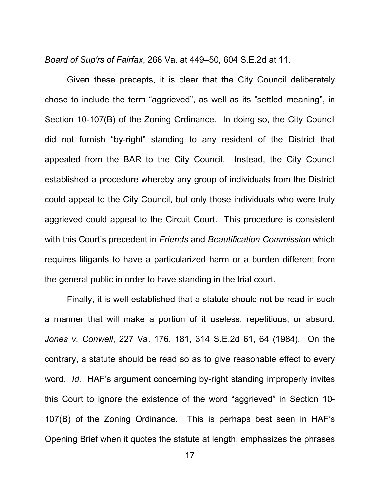*Board of Sup'rs of Fairfax*, 268 Va. at 449–50, 604 S.E.2d at 11.

Given these precepts, it is clear that the City Council deliberately chose to include the term "aggrieved", as well as its "settled meaning", in Section 10-107(B) of the Zoning Ordinance. In doing so, the City Council did not furnish "by-right" standing to any resident of the District that appealed from the BAR to the City Council. Instead, the City Council established a procedure whereby any group of individuals from the District could appeal to the City Council, but only those individuals who were truly aggrieved could appeal to the Circuit Court. This procedure is consistent with this Court's precedent in *Friends* and *Beautification Commission* which requires litigants to have a particularized harm or a burden different from the general public in order to have standing in the trial court.

Finally, it is well-established that a statute should not be read in such a manner that will make a portion of it useless, repetitious, or absurd. *Jones v. Conwell*, 227 Va. 176, 181, 314 S.E.2d 61, 64 (1984). On the contrary, a statute should be read so as to give reasonable effect to every word. *Id.* HAF's argument concerning by-right standing improperly invites this Court to ignore the existence of the word "aggrieved" in Section 10- 107(B) of the Zoning Ordinance. This is perhaps best seen in HAF's Opening Brief when it quotes the statute at length, emphasizes the phrases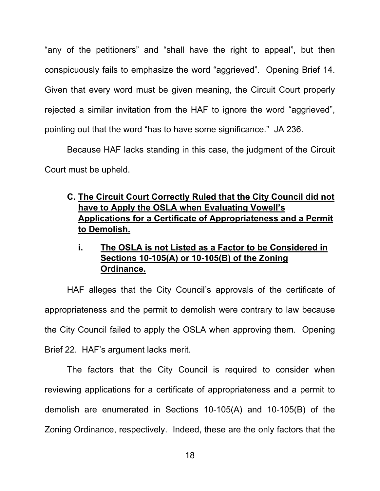"any of the petitioners" and "shall have the right to appeal", but then conspicuously fails to emphasize the word "aggrieved". Opening Brief 14. Given that every word must be given meaning, the Circuit Court properly rejected a similar invitation from the HAF to ignore the word "aggrieved", pointing out that the word "has to have some significance." JA 236.

Because HAF lacks standing in this case, the judgment of the Circuit Court must be upheld.

## **C. The Circuit Court Correctly Ruled that the City Council did not have to Apply the OSLA when Evaluating Vowell's Applications for a Certificate of Appropriateness and a Permit to Demolish.**

**i. The OSLA is not Listed as a Factor to be Considered in Sections 10-105(A) or 10-105(B) of the Zoning Ordinance.** 

HAF alleges that the City Council's approvals of the certificate of appropriateness and the permit to demolish were contrary to law because the City Council failed to apply the OSLA when approving them. Opening Brief 22. HAF's argument lacks merit.

The factors that the City Council is required to consider when reviewing applications for a certificate of appropriateness and a permit to demolish are enumerated in Sections 10-105(A) and 10-105(B) of the Zoning Ordinance, respectively. Indeed, these are the only factors that the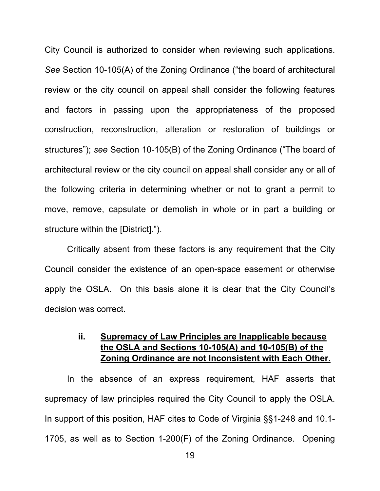City Council is authorized to consider when reviewing such applications. *See* Section 10-105(A) of the Zoning Ordinance ("the board of architectural review or the city council on appeal shall consider the following features and factors in passing upon the appropriateness of the proposed construction, reconstruction, alteration or restoration of buildings or structures"); *see* Section 10-105(B) of the Zoning Ordinance ("The board of architectural review or the city council on appeal shall consider any or all of the following criteria in determining whether or not to grant a permit to move, remove, capsulate or demolish in whole or in part a building or structure within the [District].").

Critically absent from these factors is any requirement that the City Council consider the existence of an open-space easement or otherwise apply the OSLA. On this basis alone it is clear that the City Council's decision was correct.

## **ii. Supremacy of Law Principles are Inapplicable because the OSLA and Sections 10-105(A) and 10-105(B) of the Zoning Ordinance are not Inconsistent with Each Other.**

In the absence of an express requirement, HAF asserts that supremacy of law principles required the City Council to apply the OSLA. In support of this position, HAF cites to Code of Virginia §§1-248 and 10.1- 1705, as well as to Section 1-200(F) of the Zoning Ordinance. Opening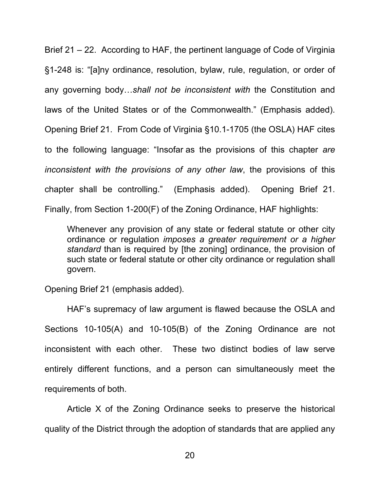Brief 21 – 22. According to HAF, the pertinent language of Code of Virginia §1-248 is: "[a]ny ordinance, resolution, bylaw, rule, regulation, or order of any governing body…*shall not be inconsistent with* the Constitution and laws of the United States or of the Commonwealth." (Emphasis added). Opening Brief 21. From Code of Virginia §10.1-1705 (the OSLA) HAF cites to the following language: "Insofar as the provisions of this chapter *are inconsistent with the provisions of any other law*, the provisions of this chapter shall be controlling." (Emphasis added). Opening Brief 21. Finally, from Section 1-200(F) of the Zoning Ordinance, HAF highlights:

Whenever any provision of any state or federal statute or other city ordinance or regulation *imposes a greater requirement or a higher standard* than is required by [the zoning] ordinance, the provision of such state or federal statute or other city ordinance or regulation shall govern.

Opening Brief 21 (emphasis added).

HAF's supremacy of law argument is flawed because the OSLA and Sections 10-105(A) and 10-105(B) of the Zoning Ordinance are not inconsistent with each other. These two distinct bodies of law serve entirely different functions, and a person can simultaneously meet the requirements of both.

Article X of the Zoning Ordinance seeks to preserve the historical quality of the District through the adoption of standards that are applied any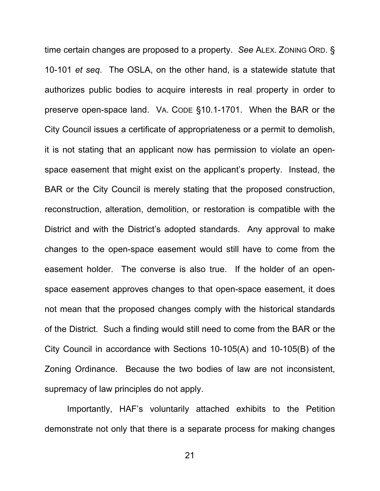time certain changes are proposed to a property. *See* ALEX. ZONING ORD. § 10-101 *et seq*. The OSLA, on the other hand, is a statewide statute that authorizes public bodies to acquire interests in real property in order to preserve open-space land. VA. CODE §10.1-1701. When the BAR or the City Council issues a certificate of appropriateness or a permit to demolish, it is not stating that an applicant now has permission to violate an openspace easement that might exist on the applicant's property. Instead, the BAR or the City Council is merely stating that the proposed construction, reconstruction, alteration, demolition, or restoration is compatible with the District and with the District's adopted standards. Any approval to make changes to the open-space easement would still have to come from the easement holder. The converse is also true. If the holder of an openspace easement approves changes to that open-space easement, it does not mean that the proposed changes comply with the historical standards of the District. Such a finding would still need to come from the BAR or the City Council in accordance with Sections 10-105(A) and 10-105(B) of the Zoning Ordinance. Because the two bodies of law are not inconsistent, supremacy of law principles do not apply.

Importantly, HAF's voluntarily attached exhibits to the Petition demonstrate not only that there is a separate process for making changes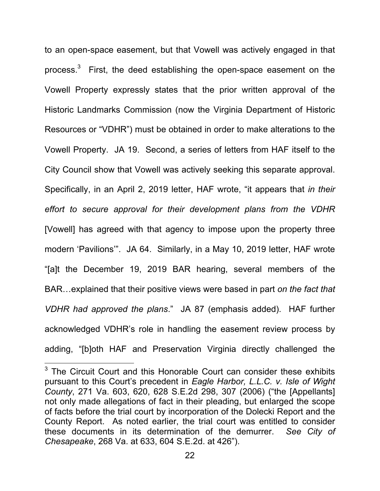to an open-space easement, but that Vowell was actively engaged in that process. $3$  First, the deed establishing the open-space easement on the Vowell Property expressly states that the prior written approval of the Historic Landmarks Commission (now the Virginia Department of Historic Resources or "VDHR") must be obtained in order to make alterations to the Vowell Property. JA 19. Second, a series of letters from HAF itself to the City Council show that Vowell was actively seeking this separate approval. Specifically, in an April 2, 2019 letter, HAF wrote, "it appears that *in their effort to secure approval for their development plans from the VDHR*  [Vowell] has agreed with that agency to impose upon the property three modern 'Pavilions'". JA 64. Similarly, in a May 10, 2019 letter, HAF wrote "[a]t the December 19, 2019 BAR hearing, several members of the BAR…explained that their positive views were based in part *on the fact that VDHR had approved the plans*." JA 87 (emphasis added). HAF further acknowledged VDHR's role in handling the easement review process by adding, "[b]oth HAF and Preservation Virginia directly challenged the

 $3$  The Circuit Court and this Honorable Court can consider these exhibits pursuant to this Court's precedent in *Eagle Harbor, L.L.C. v. Isle of Wight County*, 271 Va. 603, 620, 628 S.E.2d 298, 307 (2006) ("the [Appellants] not only made allegations of fact in their pleading, but enlarged the scope of facts before the trial court by incorporation of the Dolecki Report and the County Report. As noted earlier, the trial court was entitled to consider these documents in its determination of the demurrer. *See City of Chesapeake*, 268 Va. at 633, 604 S.E.2d. at 426").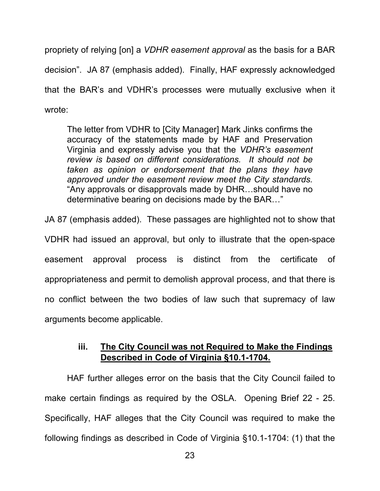propriety of relying [on] a *VDHR easement approval* as the basis for a BAR decision". JA 87 (emphasis added). Finally, HAF expressly acknowledged that the BAR's and VDHR's processes were mutually exclusive when it wrote:

The letter from VDHR to [City Manager] Mark Jinks confirms the accuracy of the statements made by HAF and Preservation Virginia and expressly advise you that the *VDHR's easement review is based on different considerations. It should not be taken as opinion or endorsement that the plans they have approved under the easement review meet the City standards.* "Any approvals or disapprovals made by DHR…should have no determinative bearing on decisions made by the BAR…"

JA 87 (emphasis added). These passages are highlighted not to show that

VDHR had issued an approval, but only to illustrate that the open-space easement approval process is distinct from the certificate of appropriateness and permit to demolish approval process, and that there is no conflict between the two bodies of law such that supremacy of law arguments become applicable.

## **iii. The City Council was not Required to Make the Findings Described in Code of Virginia §10.1-1704.**

 HAF further alleges error on the basis that the City Council failed to make certain findings as required by the OSLA. Opening Brief 22 - 25. Specifically, HAF alleges that the City Council was required to make the following findings as described in Code of Virginia §10.1-1704: (1) that the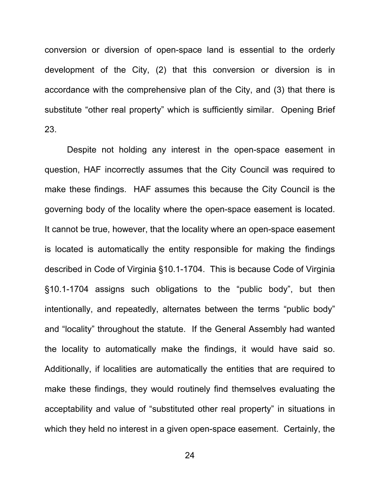conversion or diversion of open-space land is essential to the orderly development of the City, (2) that this conversion or diversion is in accordance with the comprehensive plan of the City, and (3) that there is substitute "other real property" which is sufficiently similar. Opening Brief 23.

Despite not holding any interest in the open-space easement in question, HAF incorrectly assumes that the City Council was required to make these findings. HAF assumes this because the City Council is the governing body of the locality where the open-space easement is located. It cannot be true, however, that the locality where an open-space easement is located is automatically the entity responsible for making the findings described in Code of Virginia §10.1-1704. This is because Code of Virginia §10.1-1704 assigns such obligations to the "public body", but then intentionally, and repeatedly, alternates between the terms "public body" and "locality" throughout the statute. If the General Assembly had wanted the locality to automatically make the findings, it would have said so. Additionally, if localities are automatically the entities that are required to make these findings, they would routinely find themselves evaluating the acceptability and value of "substituted other real property" in situations in which they held no interest in a given open-space easement. Certainly, the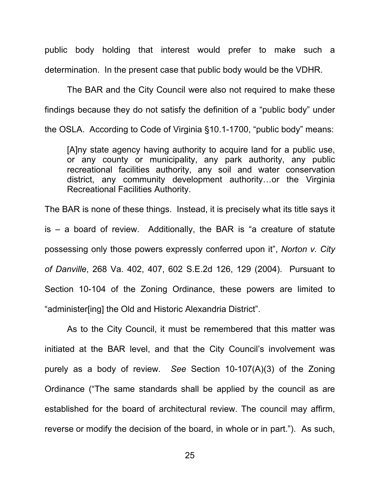public body holding that interest would prefer to make such a determination. In the present case that public body would be the VDHR.

The BAR and the City Council were also not required to make these findings because they do not satisfy the definition of a "public body" under the OSLA. According to Code of Virginia §10.1-1700, "public body" means:

[A]ny state agency having authority to acquire land for a public use, or any county or municipality, any park authority, any public recreational facilities authority, any soil and water conservation district, any community development authority…or the Virginia Recreational Facilities Authority.

The BAR is none of these things. Instead, it is precisely what its title says it is – a board of review. Additionally, the BAR is "a creature of statute possessing only those powers expressly conferred upon it", *Norton v. City of Danville*, 268 Va. 402, 407, 602 S.E.2d 126, 129 (2004). Pursuant to Section 10-104 of the Zoning Ordinance, these powers are limited to "administer[ing] the Old and Historic Alexandria District".

As to the City Council, it must be remembered that this matter was initiated at the BAR level, and that the City Council's involvement was purely as a body of review. *See* Section 10-107(A)(3) of the Zoning Ordinance ("The same standards shall be applied by the council as are established for the board of architectural review. The council may affirm, reverse or modify the decision of the board, in whole or in part."). As such,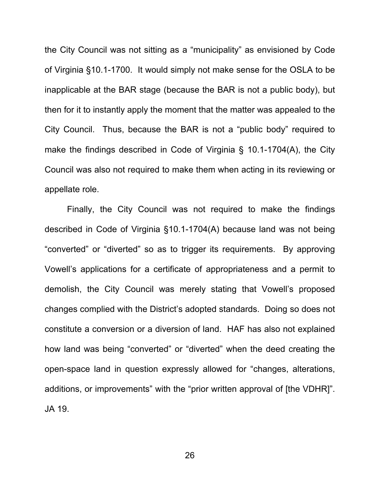the City Council was not sitting as a "municipality" as envisioned by Code of Virginia §10.1-1700. It would simply not make sense for the OSLA to be inapplicable at the BAR stage (because the BAR is not a public body), but then for it to instantly apply the moment that the matter was appealed to the City Council. Thus, because the BAR is not a "public body" required to make the findings described in Code of Virginia § 10.1-1704(A), the City Council was also not required to make them when acting in its reviewing or appellate role.

Finally, the City Council was not required to make the findings described in Code of Virginia §10.1-1704(A) because land was not being "converted" or "diverted" so as to trigger its requirements. By approving Vowell's applications for a certificate of appropriateness and a permit to demolish, the City Council was merely stating that Vowell's proposed changes complied with the District's adopted standards. Doing so does not constitute a conversion or a diversion of land. HAF has also not explained how land was being "converted" or "diverted" when the deed creating the open-space land in question expressly allowed for "changes, alterations, additions, or improvements" with the "prior written approval of [the VDHR]". JA 19.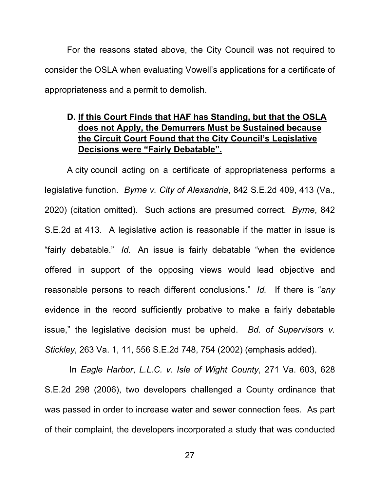For the reasons stated above, the City Council was not required to consider the OSLA when evaluating Vowell's applications for a certificate of appropriateness and a permit to demolish.

## **D. If this Court Finds that HAF has Standing, but that the OSLA does not Apply, the Demurrers Must be Sustained because the Circuit Court Found that the City Council's Legislative Decisions were "Fairly Debatable".**

A city council acting on a certificate of appropriateness performs a legislative function. *Byrne v. City of Alexandria*, 842 S.E.2d 409, 413 (Va., 2020) (citation omitted). Such actions are presumed correct. *Byrne*, 842 S.E.2d at 413. A legislative action is reasonable if the matter in issue is "fairly debatable." *Id.* An issue is fairly debatable "when the evidence offered in support of the opposing views would lead objective and reasonable persons to reach different conclusions." *Id.* If there is "*any* evidence in the record sufficiently probative to make a fairly debatable issue," the legislative decision must be upheld. *Bd. of Supervisors v. Stickley*, 263 Va. 1, 11, 556 S.E.2d 748, 754 (2002) (emphasis added).

 In *Eagle Harbor*, *L.L.C. v. Isle of Wight County*, 271 Va. 603, 628 S.E.2d 298 (2006), two developers challenged a County ordinance that was passed in order to increase water and sewer connection fees. As part of their complaint, the developers incorporated a study that was conducted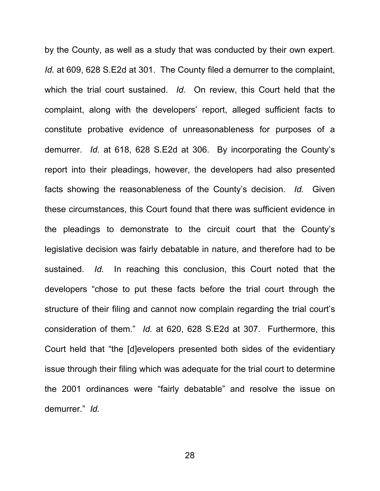by the County, as well as a study that was conducted by their own expert. *Id.* at 609, 628 S.E2d at 301. The County filed a demurrer to the complaint, which the trial court sustained. *Id.* On review, this Court held that the complaint, along with the developers' report, alleged sufficient facts to constitute probative evidence of unreasonableness for purposes of a demurrer. *Id.* at 618, 628 S.E2d at 306. By incorporating the County's report into their pleadings, however, the developers had also presented facts showing the reasonableness of the County's decision. *Id.* Given these circumstances, this Court found that there was sufficient evidence in the pleadings to demonstrate to the circuit court that the County's legislative decision was fairly debatable in nature, and therefore had to be sustained. *Id.* In reaching this conclusion, this Court noted that the developers "chose to put these facts before the trial court through the structure of their filing and cannot now complain regarding the trial court's consideration of them." *Id.* at 620, 628 S.E2d at 307. Furthermore, this Court held that "the [d]evelopers presented both sides of the evidentiary issue through their filing which was adequate for the trial court to determine the 2001 ordinances were "fairly debatable" and resolve the issue on demurrer." *Id.*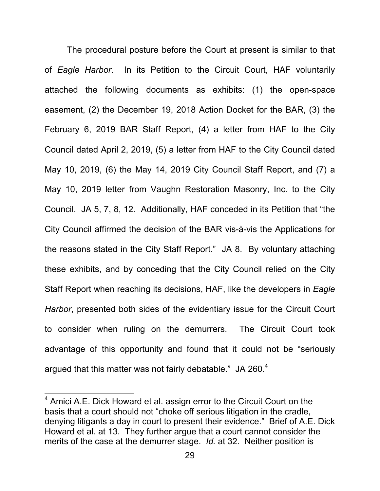The procedural posture before the Court at present is similar to that of *Eagle Harbor*. In its Petition to the Circuit Court, HAF voluntarily attached the following documents as exhibits: (1) the open-space easement, (2) the December 19, 2018 Action Docket for the BAR, (3) the February 6, 2019 BAR Staff Report, (4) a letter from HAF to the City Council dated April 2, 2019, (5) a letter from HAF to the City Council dated May 10, 2019, (6) the May 14, 2019 City Council Staff Report, and (7) a May 10, 2019 letter from Vaughn Restoration Masonry, Inc. to the City Council. JA 5, 7, 8, 12. Additionally, HAF conceded in its Petition that "the City Council affirmed the decision of the BAR vis-à-vis the Applications for the reasons stated in the City Staff Report." JA 8. By voluntary attaching these exhibits, and by conceding that the City Council relied on the City Staff Report when reaching its decisions, HAF, like the developers in *Eagle Harbor*, presented both sides of the evidentiary issue for the Circuit Court to consider when ruling on the demurrers. The Circuit Court took advantage of this opportunity and found that it could not be "seriously argued that this matter was not fairly debatable." JA 260.<sup>4</sup>

 $^4$  Amici A.E. Dick Howard et al. assign error to the Circuit Court on the basis that a court should not "choke off serious litigation in the cradle, denying litigants a day in court to present their evidence." Brief of A.E. Dick Howard et al. at 13. They further argue that a court cannot consider the merits of the case at the demurrer stage. *Id.* at 32. Neither position is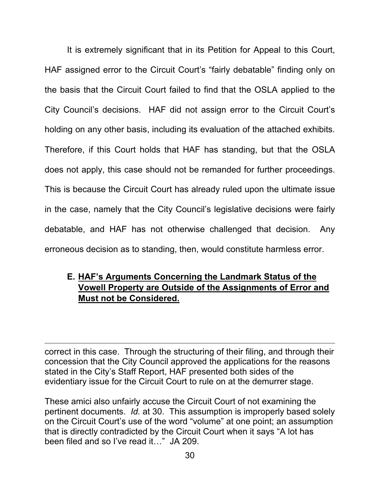It is extremely significant that in its Petition for Appeal to this Court, HAF assigned error to the Circuit Court's "fairly debatable" finding only on the basis that the Circuit Court failed to find that the OSLA applied to the City Council's decisions. HAF did not assign error to the Circuit Court's holding on any other basis, including its evaluation of the attached exhibits. Therefore, if this Court holds that HAF has standing, but that the OSLA does not apply, this case should not be remanded for further proceedings. This is because the Circuit Court has already ruled upon the ultimate issue in the case, namely that the City Council's legislative decisions were fairly debatable, and HAF has not otherwise challenged that decision. Any erroneous decision as to standing, then, would constitute harmless error.

## **E. HAF's Arguments Concerning the Landmark Status of the Vowell Property are Outside of the Assignments of Error and Must not be Considered.**

correct in this case. Through the structuring of their filing, and through their concession that the City Council approved the applications for the reasons stated in the City's Staff Report, HAF presented both sides of the evidentiary issue for the Circuit Court to rule on at the demurrer stage.

<u> 1989 - Johann Stoff, amerikansk politiker (d. 1989)</u>

These amici also unfairly accuse the Circuit Court of not examining the pertinent documents. *Id.* at 30. This assumption is improperly based solely on the Circuit Court's use of the word "volume" at one point; an assumption that is directly contradicted by the Circuit Court when it says "A lot has been filed and so I've read it…" JA 209.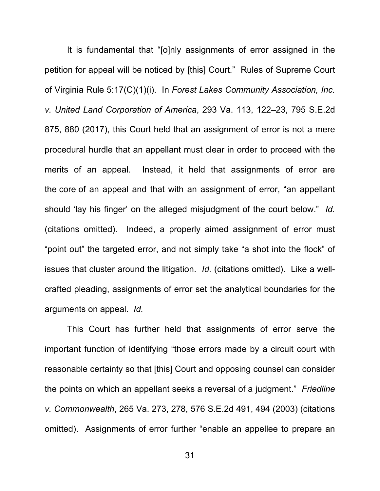It is fundamental that "[o]nly assignments of error assigned in the petition for appeal will be noticed by [this] Court." Rules of Supreme Court of Virginia Rule 5:17(C)(1)(i). In *Forest Lakes Community Association, Inc. v. United Land Corporation of America*, 293 Va. 113, 122–23, 795 S.E.2d 875, 880 (2017), this Court held that an assignment of error is not a mere procedural hurdle that an appellant must clear in order to proceed with the merits of an appeal. Instead, it held that assignments of error are the core of an appeal and that with an assignment of error, "an appellant should 'lay his finger' on the alleged misjudgment of the court below." *Id.* (citations omitted). Indeed, a properly aimed assignment of error must "point out" the targeted error, and not simply take "a shot into the flock" of issues that cluster around the litigation. *Id.* (citations omitted). Like a wellcrafted pleading, assignments of error set the analytical boundaries for the arguments on appeal. *Id.*

This Court has further held that assignments of error serve the important function of identifying "those errors made by a circuit court with reasonable certainty so that [this] Court and opposing counsel can consider the points on which an appellant seeks a reversal of a judgment." *Friedline v. Commonwealth*, 265 Va. 273, 278, 576 S.E.2d 491, 494 (2003) (citations omitted). Assignments of error further "enable an appellee to prepare an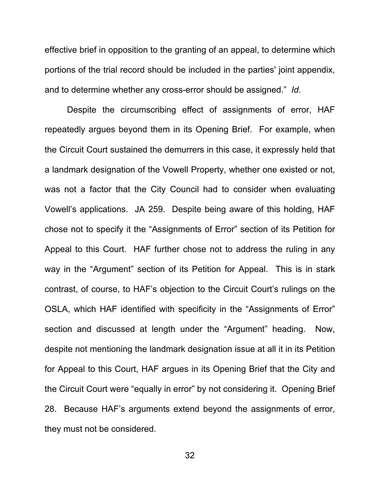effective brief in opposition to the granting of an appeal, to determine which portions of the trial record should be included in the parties' joint appendix, and to determine whether any cross-error should be assigned." *Id.* 

Despite the circumscribing effect of assignments of error, HAF repeatedly argues beyond them in its Opening Brief. For example, when the Circuit Court sustained the demurrers in this case, it expressly held that a landmark designation of the Vowell Property, whether one existed or not, was not a factor that the City Council had to consider when evaluating Vowell's applications. JA 259. Despite being aware of this holding, HAF chose not to specify it the "Assignments of Error" section of its Petition for Appeal to this Court. HAF further chose not to address the ruling in any way in the "Argument" section of its Petition for Appeal. This is in stark contrast, of course, to HAF's objection to the Circuit Court's rulings on the OSLA, which HAF identified with specificity in the "Assignments of Error" section and discussed at length under the "Argument" heading. Now, despite not mentioning the landmark designation issue at all it in its Petition for Appeal to this Court, HAF argues in its Opening Brief that the City and the Circuit Court were "equally in error" by not considering it. Opening Brief 28. Because HAF's arguments extend beyond the assignments of error, they must not be considered.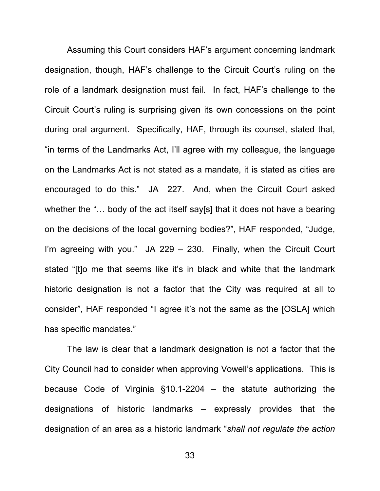Assuming this Court considers HAF's argument concerning landmark designation, though, HAF's challenge to the Circuit Court's ruling on the role of a landmark designation must fail. In fact, HAF's challenge to the Circuit Court's ruling is surprising given its own concessions on the point during oral argument. Specifically, HAF, through its counsel, stated that, "in terms of the Landmarks Act, I'll agree with my colleague, the language on the Landmarks Act is not stated as a mandate, it is stated as cities are encouraged to do this." JA 227. And, when the Circuit Court asked whether the "... body of the act itself say[s] that it does not have a bearing on the decisions of the local governing bodies?", HAF responded, "Judge, I'm agreeing with you." JA 229 – 230. Finally, when the Circuit Court stated "[t]o me that seems like it's in black and white that the landmark historic designation is not a factor that the City was required at all to consider", HAF responded "I agree it's not the same as the [OSLA] which has specific mandates."

The law is clear that a landmark designation is not a factor that the City Council had to consider when approving Vowell's applications. This is because Code of Virginia §10.1-2204 – the statute authorizing the designations of historic landmarks – expressly provides that the designation of an area as a historic landmark "*shall not regulate the action*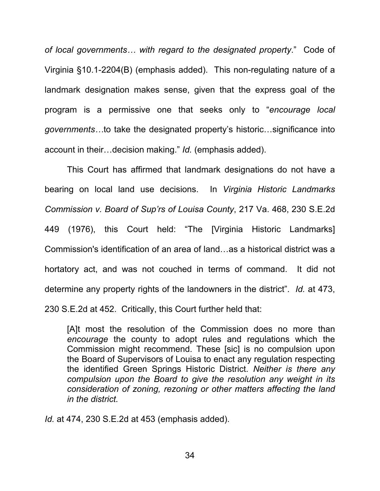*of local governments… with regard to the designated property*." Code of Virginia §10.1-2204(B) (emphasis added). This non-regulating nature of a landmark designation makes sense, given that the express goal of the program is a permissive one that seeks only to "*encourage local governments…*to take the designated property's historic…significance into account in their…decision making." *Id.* (emphasis added).

This Court has affirmed that landmark designations do not have a bearing on local land use decisions. In *Virginia Historic Landmarks Commission v. Board of Sup'rs of Louisa County*, 217 Va. 468, 230 S.E.2d 449 (1976), this Court held: "The [Virginia Historic Landmarks] Commission's identification of an area of land…as a historical district was a hortatory act, and was not couched in terms of command. It did not determine any property rights of the landowners in the district". *Id.* at 473, 230 S.E.2d at 452. Critically, this Court further held that:

[A]t most the resolution of the Commission does no more than *encourage* the county to adopt rules and regulations which the Commission might recommend. These [sic] is no compulsion upon the Board of Supervisors of Louisa to enact any regulation respecting the identified Green Springs Historic District. *Neither is there any compulsion upon the Board to give the resolution any weight in its consideration of zoning, rezoning or other matters affecting the land in the district.*

*Id.* at 474, 230 S.E.2d at 453 (emphasis added).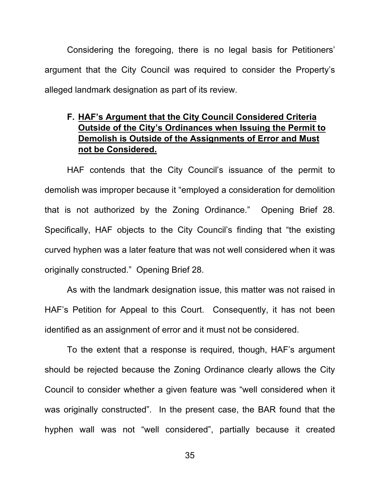Considering the foregoing, there is no legal basis for Petitioners' argument that the City Council was required to consider the Property's alleged landmark designation as part of its review.

## **F. HAF's Argument that the City Council Considered Criteria Outside of the City's Ordinances when Issuing the Permit to Demolish is Outside of the Assignments of Error and Must not be Considered.**

HAF contends that the City Council's issuance of the permit to demolish was improper because it "employed a consideration for demolition that is not authorized by the Zoning Ordinance." Opening Brief 28. Specifically, HAF objects to the City Council's finding that "the existing curved hyphen was a later feature that was not well considered when it was originally constructed." Opening Brief 28.

As with the landmark designation issue, this matter was not raised in HAF's Petition for Appeal to this Court. Consequently, it has not been identified as an assignment of error and it must not be considered.

To the extent that a response is required, though, HAF's argument should be rejected because the Zoning Ordinance clearly allows the City Council to consider whether a given feature was "well considered when it was originally constructed". In the present case, the BAR found that the hyphen wall was not "well considered", partially because it created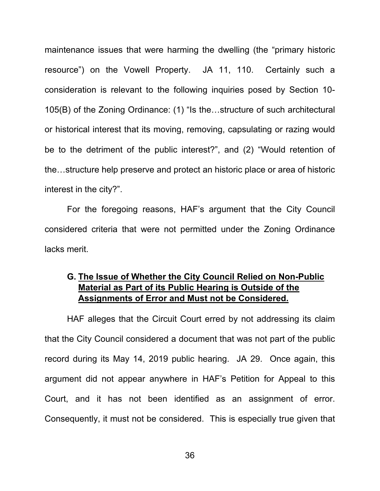maintenance issues that were harming the dwelling (the "primary historic resource") on the Vowell Property. JA 11, 110. Certainly such a consideration is relevant to the following inquiries posed by Section 10- 105(B) of the Zoning Ordinance: (1) "Is the…structure of such architectural or historical interest that its moving, removing, capsulating or razing would be to the detriment of the public interest?", and (2) "Would retention of the…structure help preserve and protect an historic place or area of historic interest in the city?".

For the foregoing reasons, HAF's argument that the City Council considered criteria that were not permitted under the Zoning Ordinance lacks merit.

## **G. The Issue of Whether the City Council Relied on Non-Public Material as Part of its Public Hearing is Outside of the Assignments of Error and Must not be Considered.**

HAF alleges that the Circuit Court erred by not addressing its claim that the City Council considered a document that was not part of the public record during its May 14, 2019 public hearing. JA 29. Once again, this argument did not appear anywhere in HAF's Petition for Appeal to this Court, and it has not been identified as an assignment of error. Consequently, it must not be considered. This is especially true given that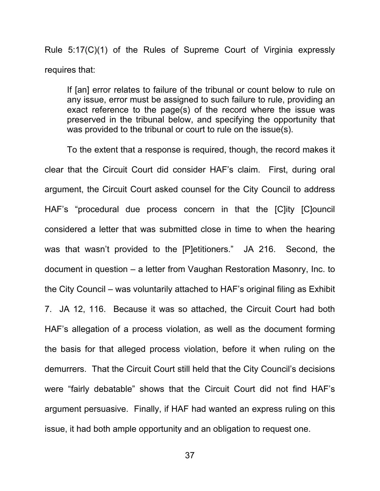Rule 5:17(C)(1) of the Rules of Supreme Court of Virginia expressly requires that:

If [an] error relates to failure of the tribunal or count below to rule on any issue, error must be assigned to such failure to rule, providing an exact reference to the page(s) of the record where the issue was preserved in the tribunal below, and specifying the opportunity that was provided to the tribunal or court to rule on the issue(s).

To the extent that a response is required, though, the record makes it clear that the Circuit Court did consider HAF's claim. First, during oral argument, the Circuit Court asked counsel for the City Council to address HAF's "procedural due process concern in that the [C]ity [C]ouncil considered a letter that was submitted close in time to when the hearing was that wasn't provided to the [P]etitioners." JA 216. Second, the document in question – a letter from Vaughan Restoration Masonry, Inc. to the City Council – was voluntarily attached to HAF's original filing as Exhibit 7. JA 12, 116. Because it was so attached, the Circuit Court had both HAF's allegation of a process violation, as well as the document forming the basis for that alleged process violation, before it when ruling on the demurrers. That the Circuit Court still held that the City Council's decisions were "fairly debatable" shows that the Circuit Court did not find HAF's argument persuasive. Finally, if HAF had wanted an express ruling on this issue, it had both ample opportunity and an obligation to request one.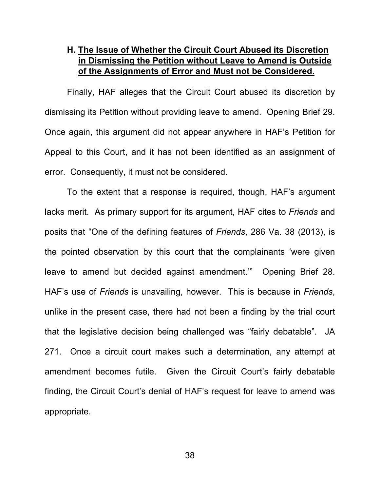## **H. The Issue of Whether the Circuit Court Abused its Discretion in Dismissing the Petition without Leave to Amend is Outside of the Assignments of Error and Must not be Considered.**

Finally, HAF alleges that the Circuit Court abused its discretion by dismissing its Petition without providing leave to amend. Opening Brief 29. Once again, this argument did not appear anywhere in HAF's Petition for Appeal to this Court, and it has not been identified as an assignment of error. Consequently, it must not be considered.

To the extent that a response is required, though, HAF's argument lacks merit. As primary support for its argument, HAF cites to *Friends* and posits that "One of the defining features of *Friends*, 286 Va. 38 (2013), is the pointed observation by this court that the complainants 'were given leave to amend but decided against amendment.'" Opening Brief 28. HAF's use of *Friends* is unavailing, however. This is because in *Friends*, unlike in the present case, there had not been a finding by the trial court that the legislative decision being challenged was "fairly debatable". JA 271. Once a circuit court makes such a determination, any attempt at amendment becomes futile. Given the Circuit Court's fairly debatable finding, the Circuit Court's denial of HAF's request for leave to amend was appropriate.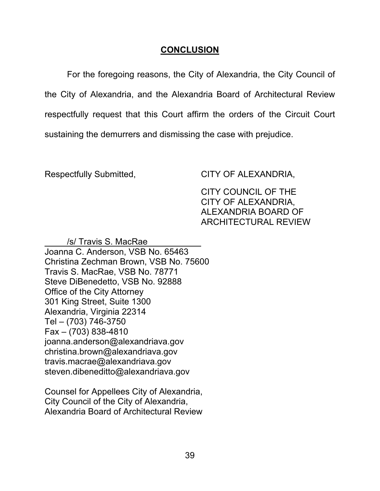## **CONCLUSION**

For the foregoing reasons, the City of Alexandria, the City Council of the City of Alexandria, and the Alexandria Board of Architectural Review respectfully request that this Court affirm the orders of the Circuit Court sustaining the demurrers and dismissing the case with prejudice.

Respectfully Submitted, CITY OF ALEXANDRIA,

CITY COUNCIL OF THE CITY OF ALEXANDRIA, ALEXANDRIA BOARD OF ARCHITECTURAL REVIEW

 /s/ Travis S. MacRae Joanna C. Anderson, VSB No. 65463 Christina Zechman Brown, VSB No. 75600 Travis S. MacRae, VSB No. 78771 Steve DiBenedetto, VSB No. 92888 Office of the City Attorney 301 King Street, Suite 1300 Alexandria, Virginia 22314 Tel – (703) 746-3750 Fax – (703) 838-4810 joanna.anderson@alexandriava.gov christina.brown@alexandriava.gov travis.macrae@alexandriava.gov steven.dibeneditto@alexandriava.gov

Counsel for Appellees City of Alexandria, City Council of the City of Alexandria, Alexandria Board of Architectural Review